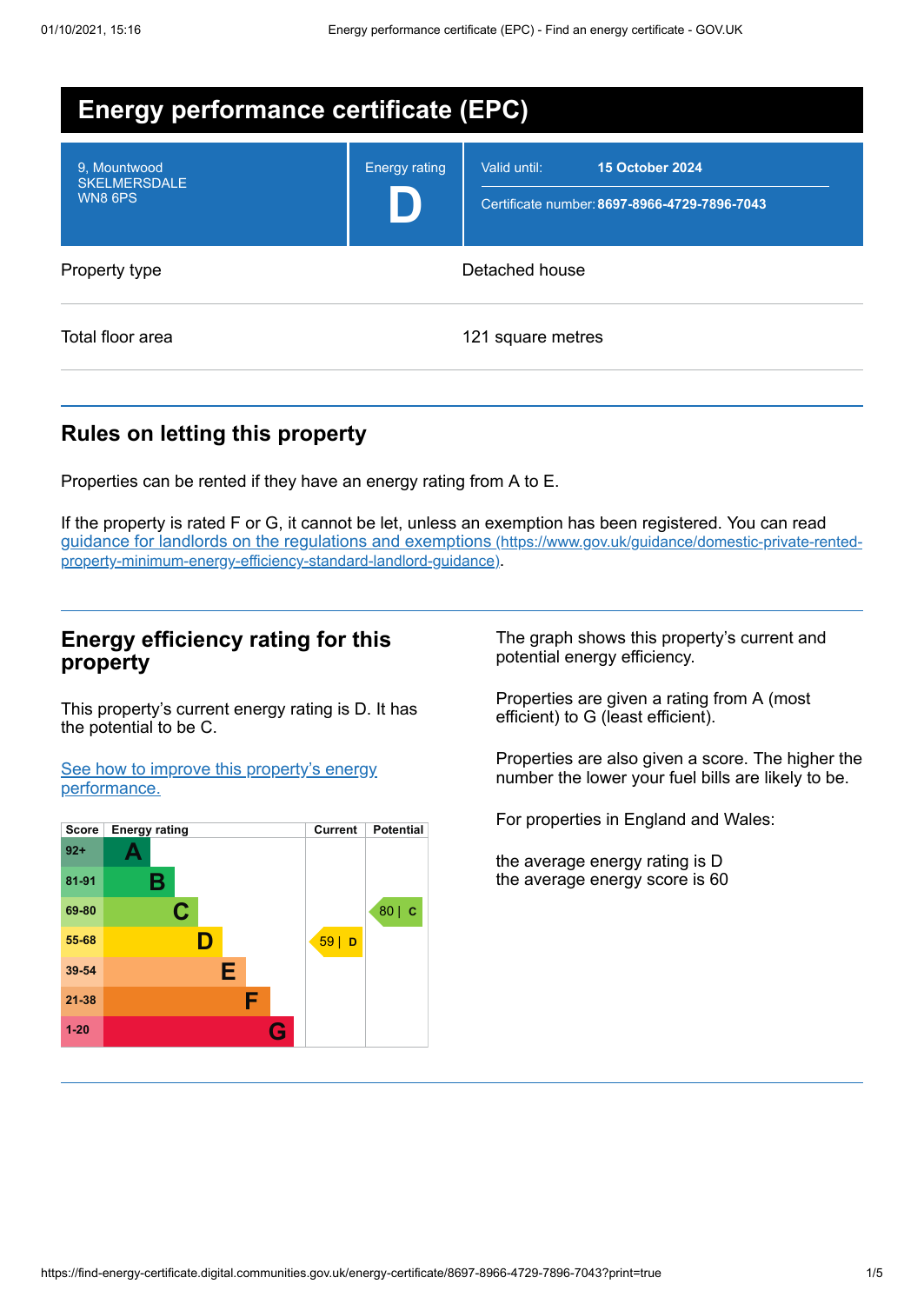| <b>Energy performance certificate (EPC)</b>           |                      |                                                                                        |  |  |  |
|-------------------------------------------------------|----------------------|----------------------------------------------------------------------------------------|--|--|--|
| 9. Mountwood<br><b>SKELMERSDALE</b><br><b>WN8 6PS</b> | <b>Energy rating</b> | <b>15 October 2024</b><br>Valid until:<br>Certificate number: 8697-8966-4729-7896-7043 |  |  |  |
| Property type                                         | Detached house       |                                                                                        |  |  |  |
| Total floor area                                      |                      | 121 square metres                                                                      |  |  |  |

# **Rules on letting this property**

Properties can be rented if they have an energy rating from A to E.

If the property is rated F or G, it cannot be let, unless an exemption has been registered. You can read guidance for landlords on the regulations and exemptions (https://www.gov.uk/guidance/domestic-private-rented[property-minimum-energy-efficiency-standard-landlord-guidance\)](https://www.gov.uk/guidance/domestic-private-rented-property-minimum-energy-efficiency-standard-landlord-guidance).

## **Energy efficiency rating for this property**

This property's current energy rating is D. It has the potential to be C.

See how to improve this property's energy [performance.](#page-2-0)



The graph shows this property's current and potential energy efficiency.

Properties are given a rating from A (most efficient) to G (least efficient).

Properties are also given a score. The higher the number the lower your fuel bills are likely to be.

For properties in England and Wales:

the average energy rating is D the average energy score is 60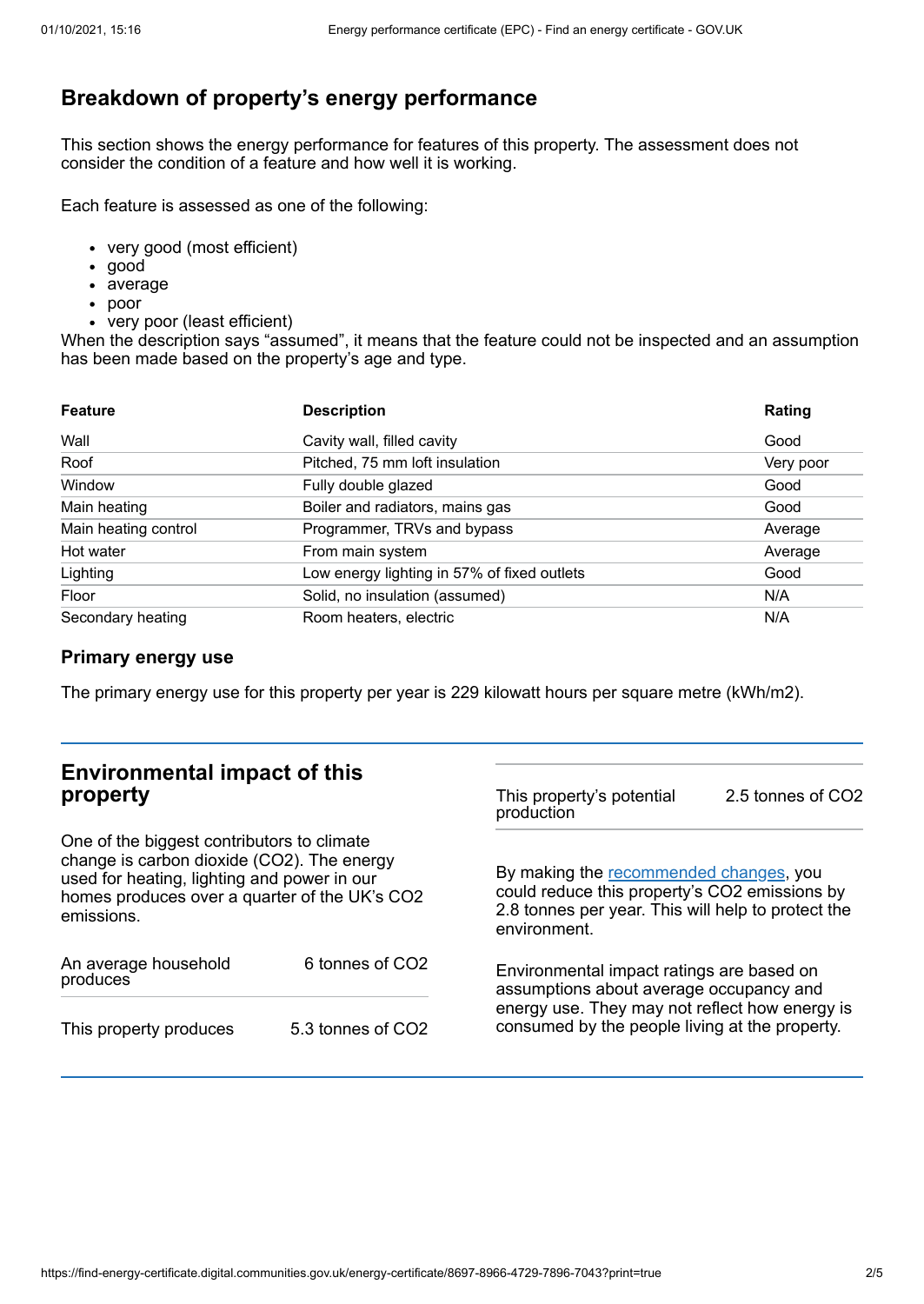# **Breakdown of property's energy performance**

This section shows the energy performance for features of this property. The assessment does not consider the condition of a feature and how well it is working.

Each feature is assessed as one of the following:

- very good (most efficient)
- good
- average
- poor
- very poor (least efficient)

When the description says "assumed", it means that the feature could not be inspected and an assumption has been made based on the property's age and type.

| <b>Feature</b>       | <b>Description</b>                          | Rating    |
|----------------------|---------------------------------------------|-----------|
| Wall                 | Cavity wall, filled cavity                  | Good      |
| Roof                 | Pitched, 75 mm loft insulation              | Very poor |
| Window               | Fully double glazed                         | Good      |
| Main heating         | Boiler and radiators, mains gas             | Good      |
| Main heating control | Programmer, TRVs and bypass                 | Average   |
| Hot water            | From main system                            | Average   |
| Lighting             | Low energy lighting in 57% of fixed outlets | Good      |
| Floor                | Solid, no insulation (assumed)              | N/A       |
| Secondary heating    | Room heaters, electric                      | N/A       |

### **Primary energy use**

The primary energy use for this property per year is 229 kilowatt hours per square metre (kWh/m2).

| <b>Environmental impact of this</b><br>property                                                                                                                                                        |                   | This property's potential<br>production                                                                                                                                                  | 2.5 tonnes of CO2 |
|--------------------------------------------------------------------------------------------------------------------------------------------------------------------------------------------------------|-------------------|------------------------------------------------------------------------------------------------------------------------------------------------------------------------------------------|-------------------|
| One of the biggest contributors to climate<br>change is carbon dioxide (CO2). The energy<br>used for heating, lighting and power in our<br>homes produces over a quarter of the UK's CO2<br>emissions. |                   | By making the recommended changes, you<br>could reduce this property's CO2 emissions by<br>2.8 tonnes per year. This will help to protect the<br>environment.                            |                   |
| An average household<br>produces                                                                                                                                                                       | 6 tonnes of CO2   | Environmental impact ratings are based on<br>assumptions about average occupancy and<br>energy use. They may not reflect how energy is<br>consumed by the people living at the property. |                   |
| This property produces                                                                                                                                                                                 | 5.3 tonnes of CO2 |                                                                                                                                                                                          |                   |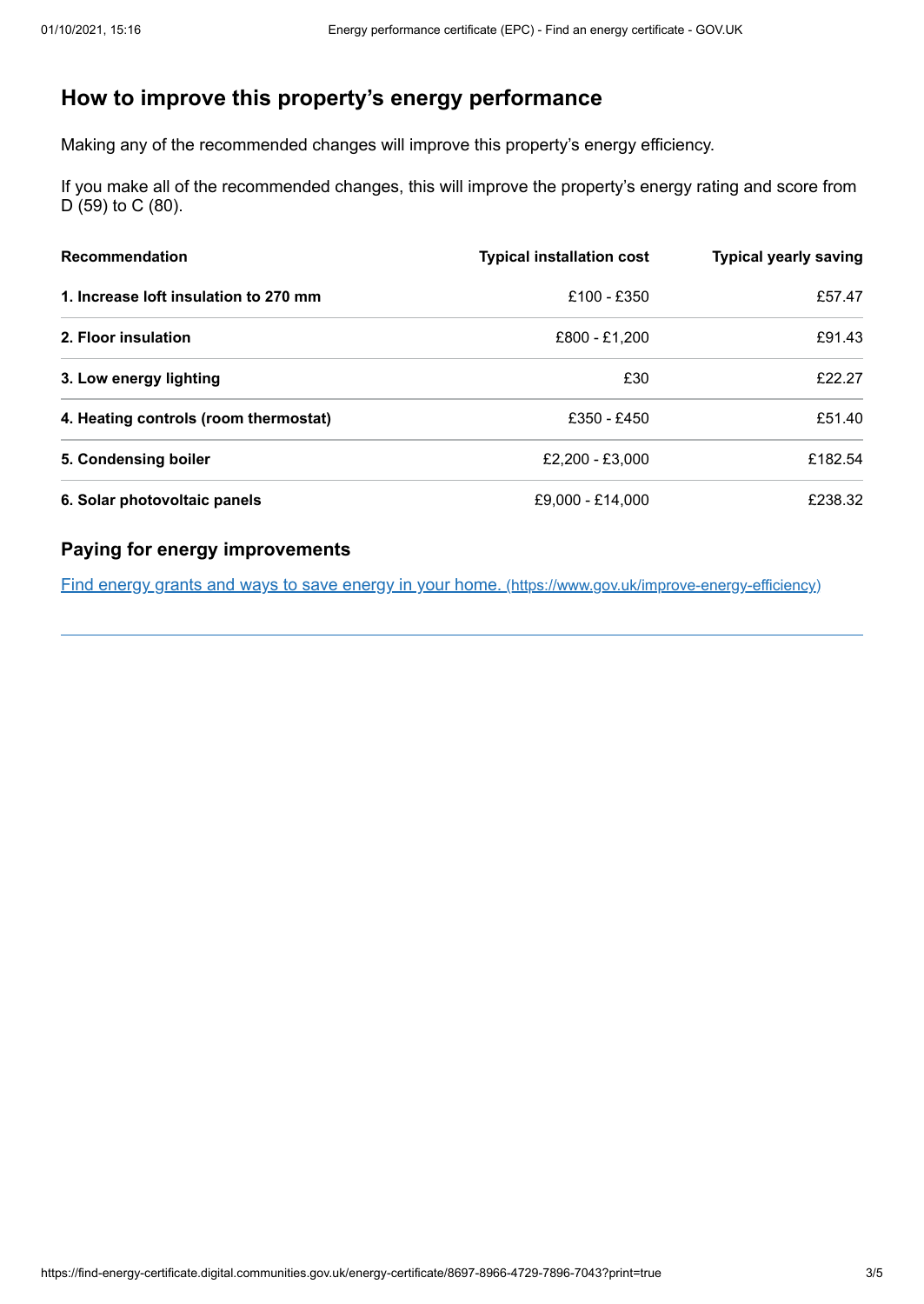# <span id="page-2-0"></span>**How to improve this property's energy performance**

Making any of the recommended changes will improve this property's energy efficiency.

If you make all of the recommended changes, this will improve the property's energy rating and score from D (59) to C (80).

| <b>Recommendation</b>                 | <b>Typical installation cost</b> | <b>Typical yearly saving</b> |
|---------------------------------------|----------------------------------|------------------------------|
| 1. Increase loft insulation to 270 mm | £100 - £350                      | £57.47                       |
| 2. Floor insulation                   | £800 - £1,200                    | £91.43                       |
| 3. Low energy lighting                | £30                              | £22.27                       |
| 4. Heating controls (room thermostat) | £350 - £450                      | £51.40                       |
| 5. Condensing boiler                  | £2.200 - £3.000                  | £182.54                      |
| 6. Solar photovoltaic panels          | £9,000 - £14,000                 | £238.32                      |

## **Paying for energy improvements**

Find energy grants and ways to save energy in your home. [\(https://www.gov.uk/improve-energy-efficiency\)](https://www.gov.uk/improve-energy-efficiency)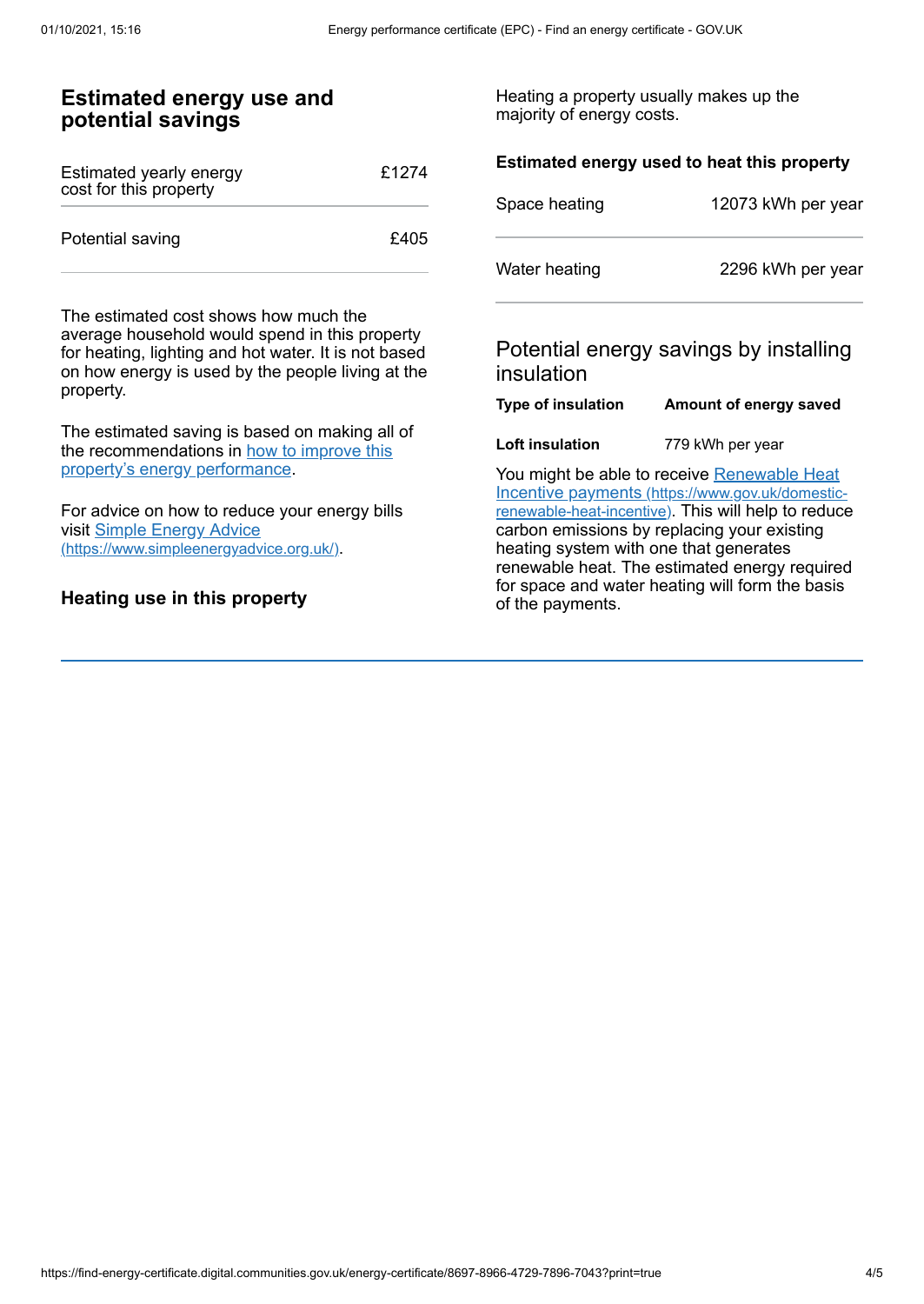of the payments.

#### **Estimated energy use and potential savings** Estimated yearly energy cost for this property £1274 Potential saving **E405** The estimated cost shows how much the average household would spend in this property for heating, lighting and hot water. It is not based on how energy is used by the people living at the property. The estimated saving is based on making all of the [recommendations](#page-2-0) in how to improve this property's energy performance. For advice on how to reduce your energy bills visit Simple Energy Advice [\(https://www.simpleenergyadvice.org.uk/\)](https://www.simpleenergyadvice.org.uk/). Heating a property usually makes up the majority of energy costs. **Estimated energy used to heat this property** Space heating 12073 kWh per year Water heating 2296 kWh per year Potential energy savings by installing insulation **Type of insulation Amount of energy saved Loft insulation** 779 kWh per year You might be able to receive Renewable Heat Incentive payments [\(https://www.gov.uk/domestic](https://www.gov.uk/domestic-renewable-heat-incentive)renewable-heat-incentive). This will help to reduce carbon emissions by replacing your existing heating system with one that generates renewable heat. The estimated energy required for space and water heating will form the basis

## **Heating use in this property**